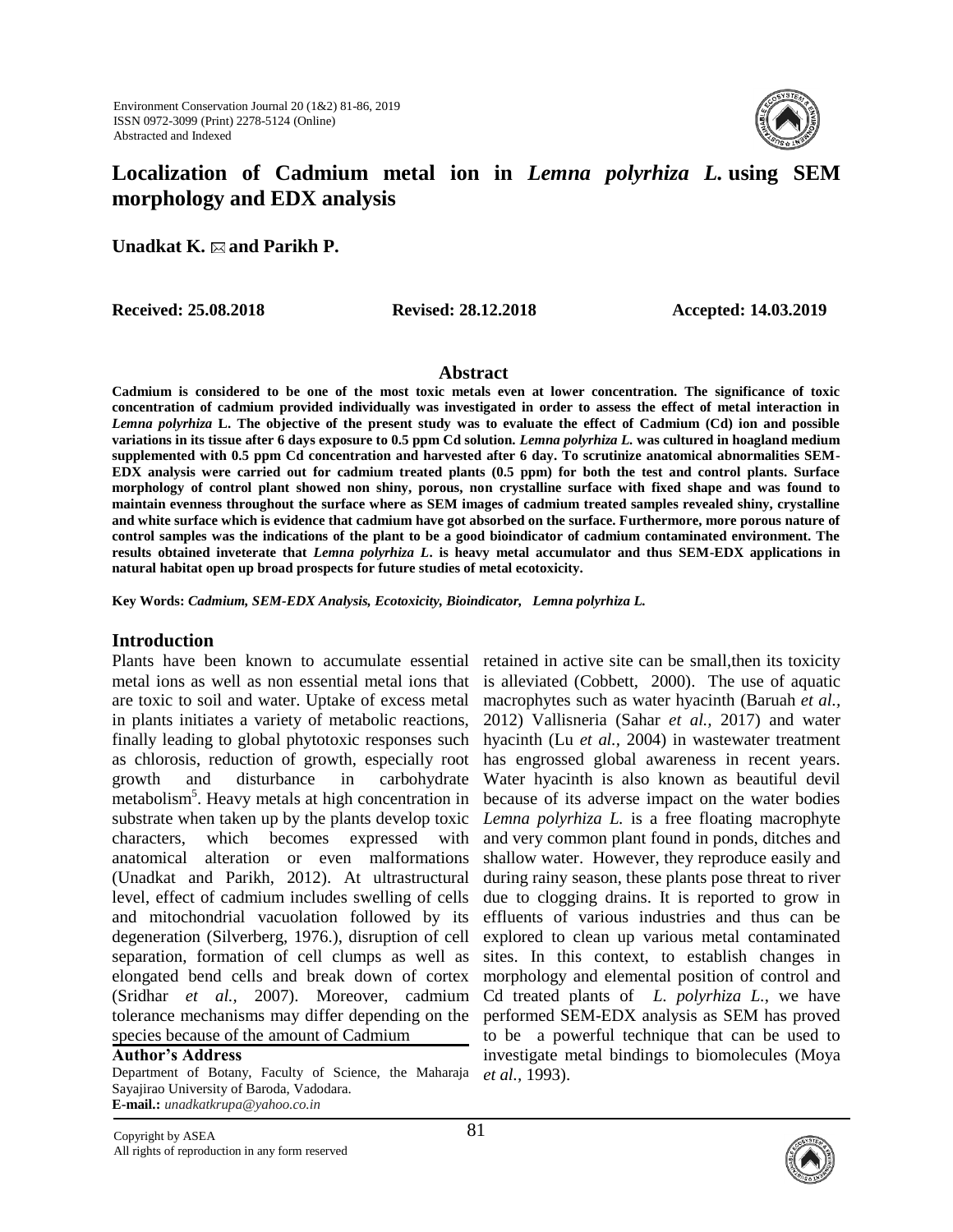

# **Localization of Cadmium metal ion in** *Lemna polyrhiza L.* **using SEM morphology and EDX analysis**

**Unadkat K. and Parikh P.**

**Received: 25.08.2018 Revised: 28.12.2018 Accepted: 14.03.2019**

#### **Abstract**

**Cadmium is considered to be one of the most toxic metals even at lower concentration. The significance of toxic concentration of cadmium provided individually was investigated in order to assess the effect of metal interaction in**  *Lemna polyrhiza* **L. The objective of the present study was to evaluate the effect of Cadmium (Cd) ion and possible variations in its tissue after 6 days exposure to 0.5 ppm Cd solution.** *Lemna polyrhiza L.* **was cultured in hoagland medium supplemented with 0.5 ppm Cd concentration and harvested after 6 day. To scrutinize anatomical abnormalities SEM-EDX analysis were carried out for cadmium treated plants (0.5 ppm) for both the test and control plants. Surface morphology of control plant showed non shiny, porous, non crystalline surface with fixed shape and was found to maintain evenness throughout the surface where as SEM images of cadmium treated samples revealed shiny, crystalline and white surface which is evidence that cadmium have got absorbed on the surface. Furthermore, more porous nature of control samples was the indications of the plant to be a good bioindicator of cadmium contaminated environment. The results obtained inveterate that** *Lemna polyrhiza L***. is heavy metal accumulator and thus SEM-EDX applications in natural habitat open up broad prospects for future studies of metal ecotoxicity.**

**Key Words:** *Cadmium, SEM-EDX Analysis, Ecotoxicity, Bioindicator, Lemna polyrhiza L.*

#### **Introduction**

Plants have been known to accumulate essential retained in active site can be small, then its toxicity metal ions as well as non essential metal ions that are toxic to soil and water. Uptake of excess metal in plants initiates a variety of metabolic reactions, finally leading to global phytotoxic responses such as chlorosis, reduction of growth, especially root growth and disturbance in carbohydrate metabolism<sup>5</sup>. Heavy metals at high concentration in substrate when taken up by the plants develop toxic characters, which becomes expressed with anatomical alteration or even malformations (Unadkat and Parikh, 2012). At ultrastructural level, effect of cadmium includes swelling of cells and mitochondrial vacuolation followed by its degeneration (Silverberg, 1976.), disruption of cell separation, formation of cell clumps as well as elongated bend cells and break down of cortex (Sridhar *et al.,* 2007). Moreover, cadmium tolerance mechanisms may differ depending on the species because of the amount of Cadmium

#### **Author's Address**

Department of Botany, Faculty of Science, the Maharaja *et al.,* 1993). Sayajirao University of Baroda, Vadodara. **E-mail.:** *unadkatkrupa@yahoo.co.in*

is alleviated (Cobbett, 2000). The use of aquatic macrophytes such as water hyacinth (Baruah *et al.,* 2012) Vallisneria (Sahar *et al.,* 2017) and water hyacinth (Lu *et al.,* 2004) in wastewater treatment has engrossed global awareness in recent years. Water hyacinth is also known as beautiful devil because of its adverse impact on the water bodies *Lemna polyrhiza L.* is a free floating macrophyte and very common plant found in ponds, ditches and shallow water. However, they reproduce easily and during rainy season, these plants pose threat to river due to clogging drains. It is reported to grow in effluents of various industries and thus can be explored to clean up various metal contaminated sites. In this context, to establish changes in morphology and elemental position of control and Cd treated plants of *L. polyrhiza L.*, we have performed SEM-EDX analysis as SEM has proved to be a powerful technique that can be used to investigate metal bindings to biomolecules (Moya



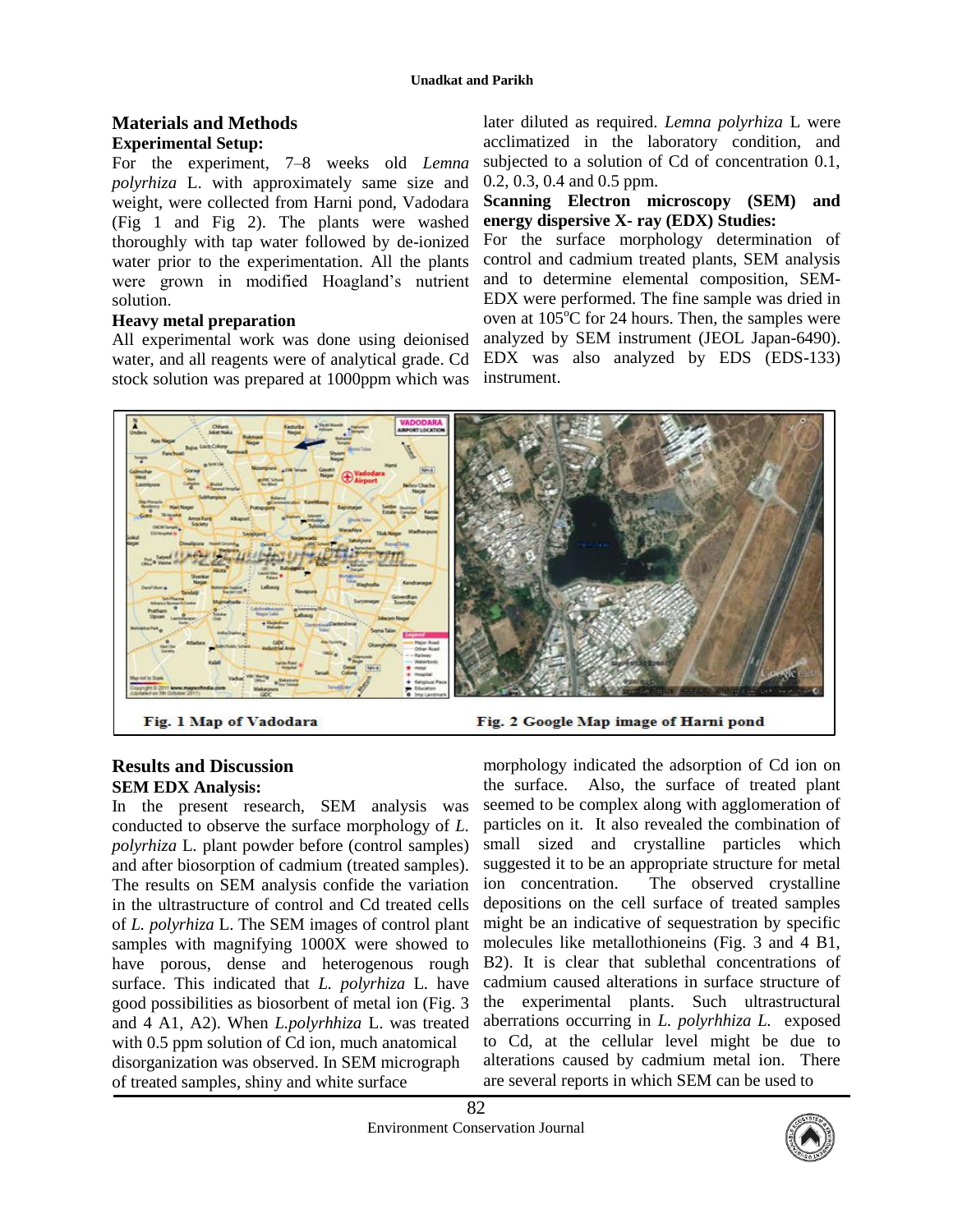## **Materials and Methods Experimental Setup:**

For the experiment, 7–8 weeks old *Lemna polyrhiza* L. with approximately same size and weight, were collected from Harni pond, Vadodara (Fig 1 and Fig 2). The plants were washed thoroughly with tap water followed by de-ionized water prior to the experimentation. All the plants were grown in modified Hoagland's nutrient solution.

## **Heavy metal preparation**

All experimental work was done using deionised water, and all reagents were of analytical grade. Cd stock solution was prepared at 1000ppm which was

later diluted as required. *Lemna polyrhiza* L were acclimatized in the laboratory condition, and subjected to a solution of Cd of concentration 0.1, 0.2, 0.3, 0.4 and 0.5 ppm.

**Scanning Electron microscopy (SEM) and energy dispersive X- ray (EDX) Studies:**

For the surface morphology determination of control and cadmium treated plants, SEM analysis and to determine elemental composition, SEM-EDX were performed. The fine sample was dried in oven at  $105^{\circ}$ C for 24 hours. Then, the samples were analyzed by SEM instrument (JEOL Japan-6490). EDX was also analyzed by EDS (EDS-133) instrument.



Fig. 1 Map of Vadodara

## **Results and Discussion SEM EDX Analysis:**

In the present research, SEM analysis was conducted to observe the surface morphology of *L. polyrhiza* L*.* plant powder before (control samples) and after biosorption of cadmium (treated samples). The results on SEM analysis confide the variation in the ultrastructure of control and Cd treated cells of *L. polyrhiza* L. The SEM images of control plant samples with magnifying 1000X were showed to have porous, dense and heterogenous rough surface. This indicated that *L. polyrhiza* L*.* have good possibilities as biosorbent of metal ion (Fig. 3 and 4 A1, A2). When *L.polyrhhiza* L. was treated with 0.5 ppm solution of Cd ion, much anatomical disorganization was observed. In SEM micrograph of treated samples, shiny and white surface



morphology indicated the adsorption of Cd ion on the surface. Also, the surface of treated plant seemed to be complex along with agglomeration of particles on it. It also revealed the combination of small sized and crystalline particles which suggested it to be an appropriate structure for metal ion concentration. The observed crystalline depositions on the cell surface of treated samples might be an indicative of sequestration by specific molecules like metallothioneins (Fig. 3 and 4 B1, B2). It is clear that sublethal concentrations of cadmium caused alterations in surface structure of the experimental plants. Such ultrastructural aberrations occurring in *L. polyrhhiza L.* exposed to Cd, at the cellular level might be due to alterations caused by cadmium metal ion. There are several reports in which SEM can be used to

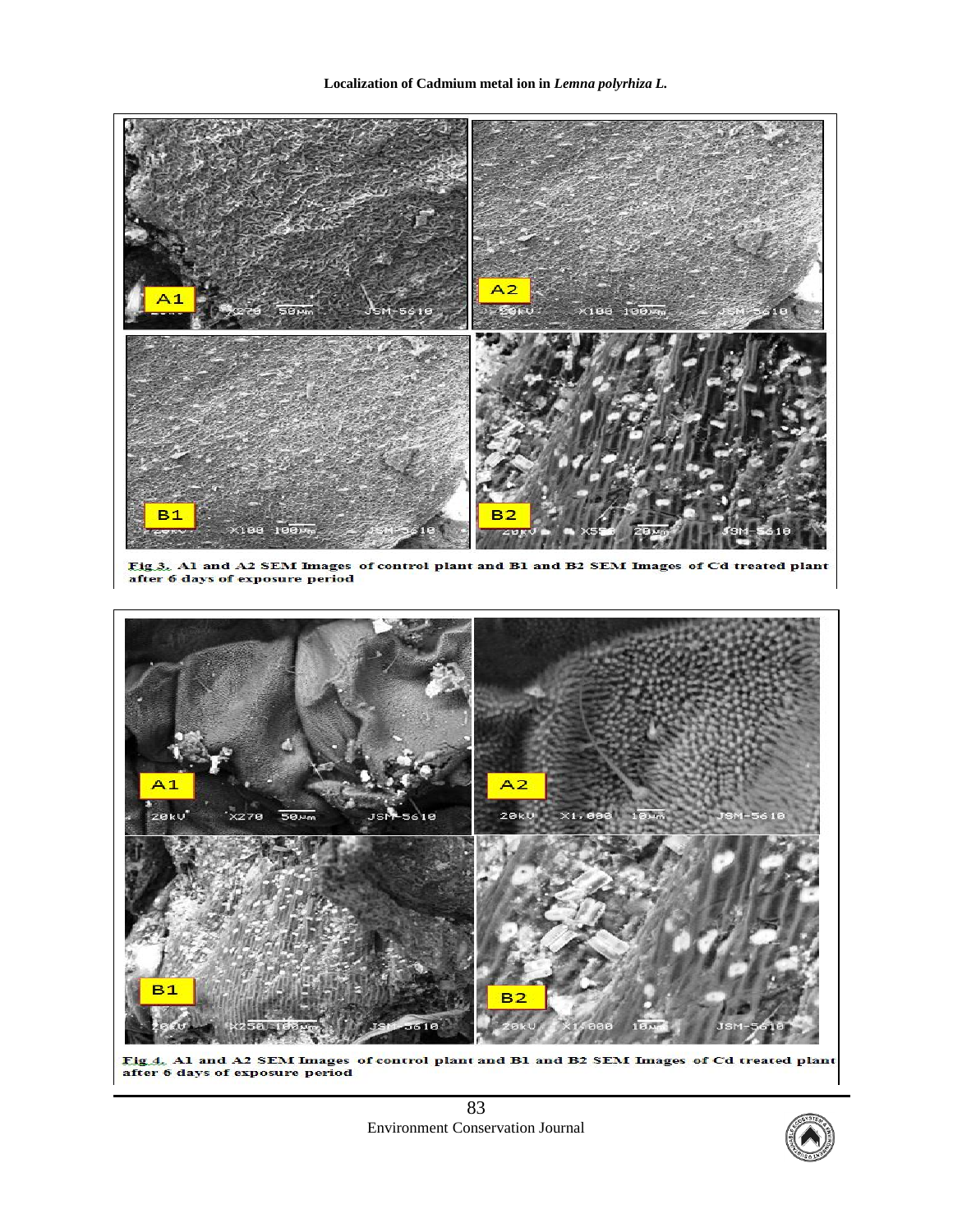**Localization of Cadmium metal ion in** *Lemna polyrhiza L.*



83 Environment Conservation Journal

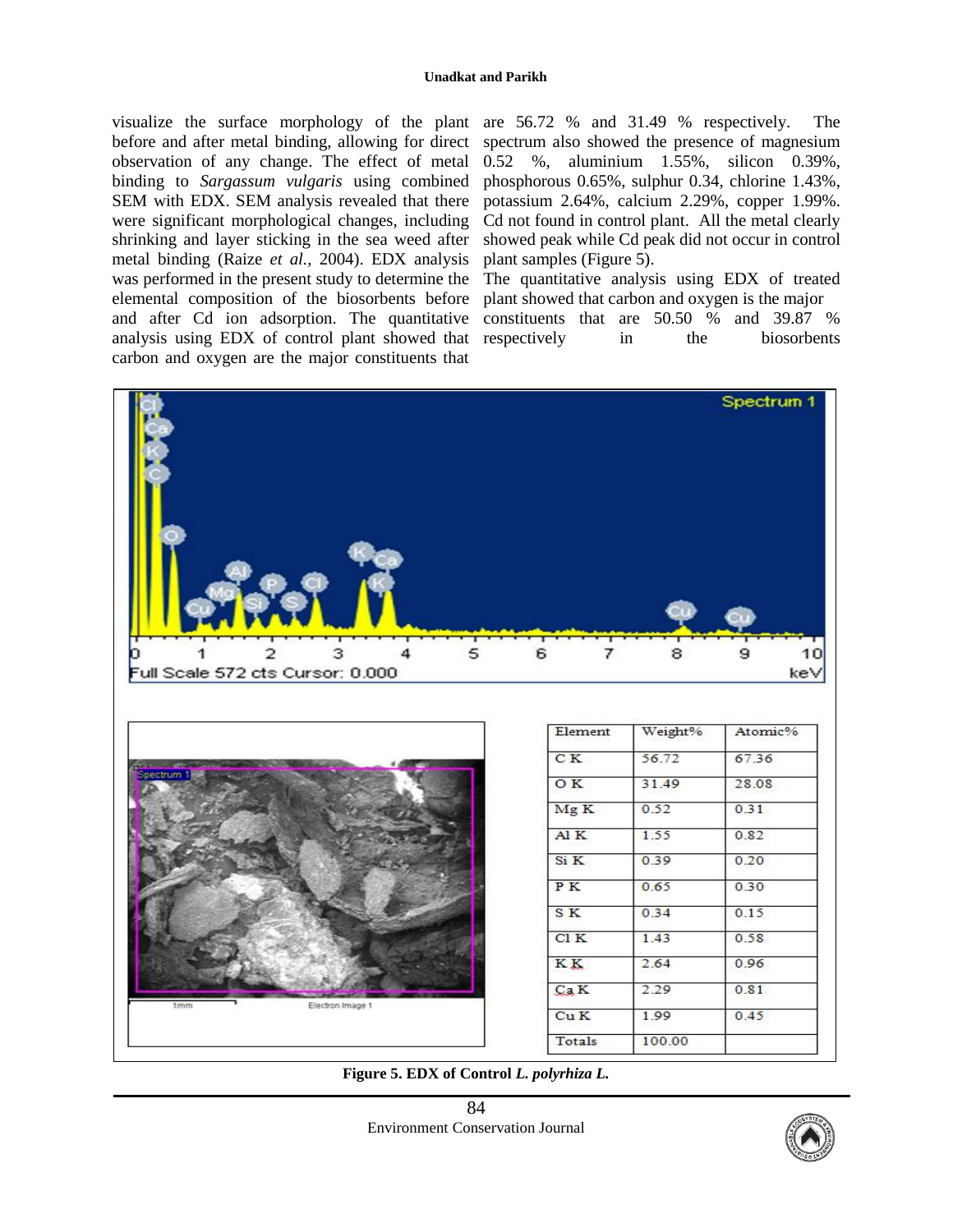visualize the surface morphology of the plant are 56.72 % and 31.49 % respectively. The before and after metal binding, allowing for direct observation of any change. The effect of metal binding to *Sargassum vulgaris* using combined SEM with EDX. SEM analysis revealed that there were significant morphological changes, including shrinking and layer sticking in the sea weed after metal binding (Raize *et al.,* 2004). EDX analysis was performed in the present study to determine the elemental composition of the biosorbents before and after Cd ion adsorption. The quantitative analysis using EDX of control plant showed that carbon and oxygen are the major constituents that

spectrum also showed the presence of magnesium 0.52 %, aluminium 1.55%, silicon 0.39%, phosphorous 0.65%, sulphur 0.34, chlorine 1.43%, potassium 2.64%, calcium 2.29%, copper 1.99%. Cd not found in control plant. All the metal clearly showed peak while Cd peak did not occur in control plant samples (Figure 5).

The quantitative analysis using EDX of treated plant showed that carbon and oxygen is the major constituents that are 50.50 % and 39.87 % respectively in the biosorbents



**Figure 5. EDX of Control** *L. polyrhiza L.*

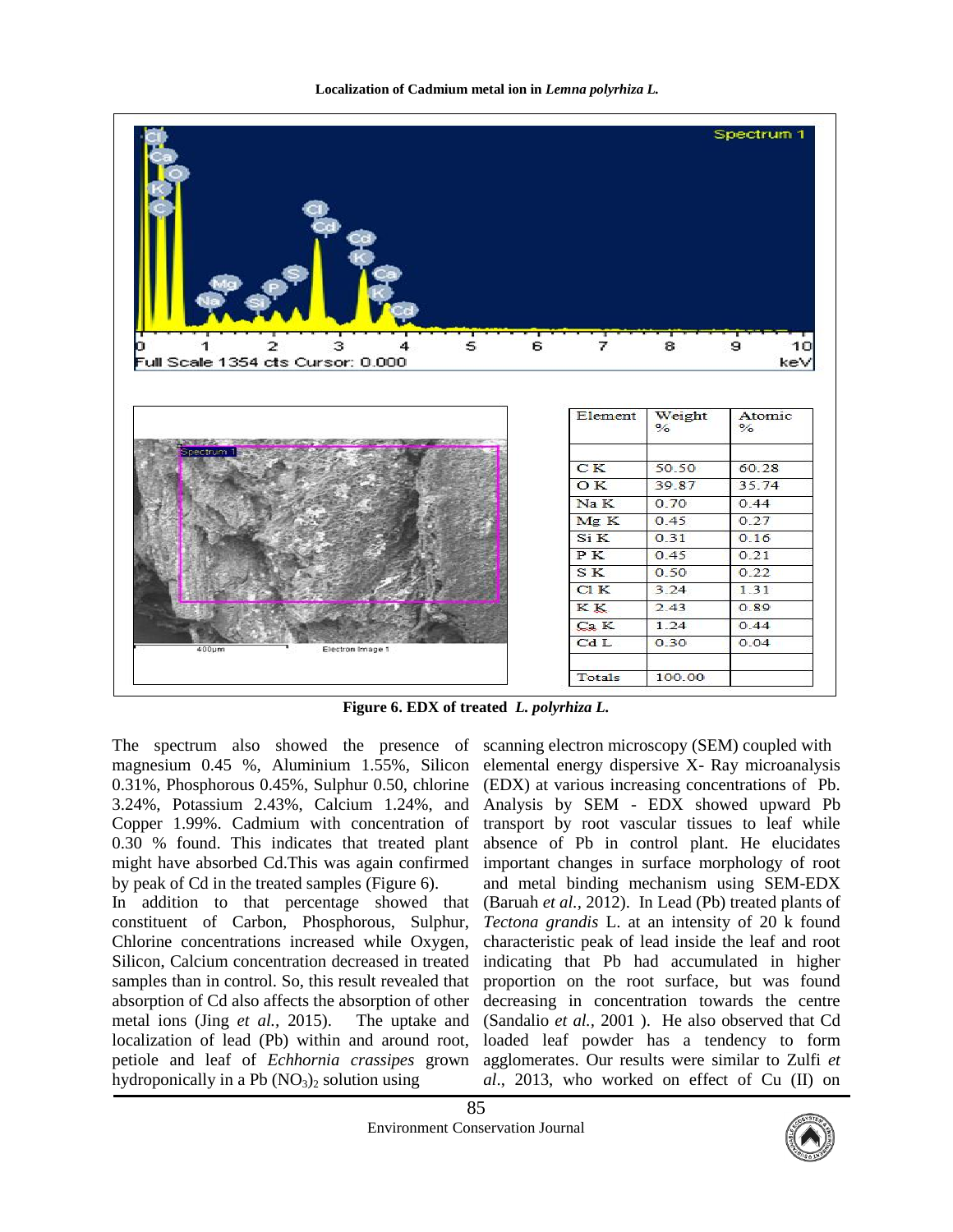



**Figure 6. EDX of treated** *L. polyrhiza L.*

The spectrum also showed the presence of scanning electron microscopy (SEM) coupled with magnesium 0.45 %, Aluminium 1.55%, Silicon 0.31%, Phosphorous 0.45%, Sulphur 0.50, chlorine 3.24%, Potassium 2.43%, Calcium 1.24%, and Copper 1.99%. Cadmium with concentration of 0.30 % found. This indicates that treated plant might have absorbed Cd.This was again confirmed by peak of Cd in the treated samples (Figure 6). In addition to that percentage showed that constituent of Carbon, Phosphorous, Sulphur, Chlorine concentrations increased while Oxygen, Silicon, Calcium concentration decreased in treated samples than in control. So, this result revealed that absorption of Cd also affects the absorption of other metal ions (Jing *et al.,* 2015). The uptake and localization of lead (Pb) within and around root, petiole and leaf of *Echhornia crassipes* grown hydroponically in a Pb  $(NO<sub>3</sub>)<sub>2</sub>$  solution using

elemental energy dispersive X- Ray microanalysis (EDX) at various increasing concentrations of Pb. Analysis by SEM - EDX showed upward Pb transport by root vascular tissues to leaf while absence of Pb in control plant. He elucidates important changes in surface morphology of root and metal binding mechanism using SEM-EDX (Baruah *et al.,* 2012). In Lead (Pb) treated plants of *Tectona grandis* L. at an intensity of 20 k found characteristic peak of lead inside the leaf and root indicating that Pb had accumulated in higher proportion on the root surface, but was found decreasing in concentration towards the centre (Sandalio *et al.,* 2001 ). He also observed that Cd loaded leaf powder has a tendency to form agglomerates. Our results were similar to Zulfi *et al*., 2013, who worked on effect of Cu (II) on